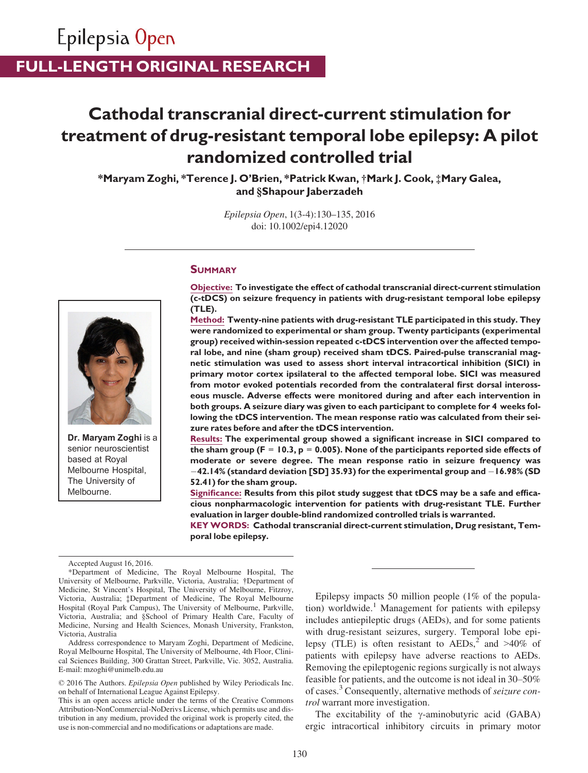# Cathodal transcranial direct-current stimulation for treatment of drug-resistant temporal lobe epilepsy: A pilot randomized controlled trial

\*Maryam Zoghi, \*Terence J. O'Brien, \*Patrick Kwan, †Mark J. Cook, ‡Mary Galea, and §Shapour Jaberzadeh

> Epilepsia Open, 1(3-4):130–135, 2016 doi: 10.1002/epi4.12020

#### **SUMMARY**



Dr. Maryam Zoghi is a senior neuroscientist based at Royal Melbourne Hospital, The University of Melbourne.

Objective: To investigate the effect of cathodal transcranial direct-current stimulation (c-tDCS) on seizure frequency in patients with drug-resistant temporal lobe epilepsy (TLE).

Method: Twenty-nine patients with drug-resistant TLE participated in this study. They were randomized to experimental or sham group. Twenty participants (experimental group) received within-session repeated c-tDCS intervention over the affected temporal lobe, and nine (sham group) received sham tDCS. Paired-pulse transcranial magnetic stimulation was used to assess short interval intracortical inhibition (SICI) in primary motor cortex ipsilateral to the affected temporal lobe. SICI was measured from motor evoked potentials recorded from the contralateral first dorsal interosseous muscle. Adverse effects were monitored during and after each intervention in both groups. A seizure diary was given to each participant to complete for 4 weeks following the tDCS intervention. The mean response ratio was calculated from their seizure rates before and after the tDCS intervention.

Results: The experimental group showed a significant increase in SICI compared to the sham group ( $F = 10.3$ ,  $p = 0.005$ ). None of the participants reported side effects of moderate or severe degree. The mean response ratio in seizure frequency was  $-42.14\%$  (standard deviation [SD] 35.93) for the experimental group and  $-16.98\%$  (SD 52.41) for the sham group.

Significance: Results from this pilot study suggest that tDCS may be a safe and efficacious nonpharmacologic intervention for patients with drug-resistant TLE. Further evaluation in larger double-blind randomized controlled trials is warranted.

KEY WORDS: Cathodal transcranial direct-current stimulation, Drug resistant, Temporal lobe epilepsy.

Accepted August 16, 2016.

\*Department of Medicine, The Royal Melbourne Hospital, The University of Melbourne, Parkville, Victoria, Australia; †Department of Medicine, St Vincent's Hospital, The University of Melbourne, Fitzroy, Victoria, Australia; ‡Department of Medicine, The Royal Melbourne Hospital (Royal Park Campus), The University of Melbourne, Parkville, Victoria, Australia; and §School of Primary Health Care, Faculty of Medicine, Nursing and Health Sciences, Monash University, Frankston, Victoria, Australia

Address correspondence to Maryam Zoghi, Department of Medicine, Royal Melbourne Hospital, The University of Melbourne, 4th Floor, Clinical Sciences Building, 300 Grattan Street, Parkville, Vic. 3052, Australia. E-mail: mzoghi@unimelb.edu.au

© 2016 The Authors. Epilepsia Open published by Wiley Periodicals Inc. on behalf of International League Against Epilepsy.

Epilepsy impacts 50 million people (1% of the population) worldwide.<sup>1</sup> Management for patients with epilepsy includes antiepileptic drugs (AEDs), and for some patients with drug-resistant seizures, surgery. Temporal lobe epilepsy (TLE) is often resistant to  $AEDs$ ,<sup>2</sup> and  $>40\%$  of patients with epilepsy have adverse reactions to AEDs. Removing the epileptogenic regions surgically is not always feasible for patients, and the outcome is not ideal in 30–50% of cases.<sup>3</sup> Consequently, alternative methods of seizure control warrant more investigation.

The excitability of the  $\gamma$ -aminobutyric acid (GABA) ergic intracortical inhibitory circuits in primary motor

This is an open access article under the terms of the Creative Commons Attribution-NonCommercial-NoDerivs License, which permits use and distribution in any medium, provided the original work is properly cited, the use is non-commercial and no modifications or adaptations are made.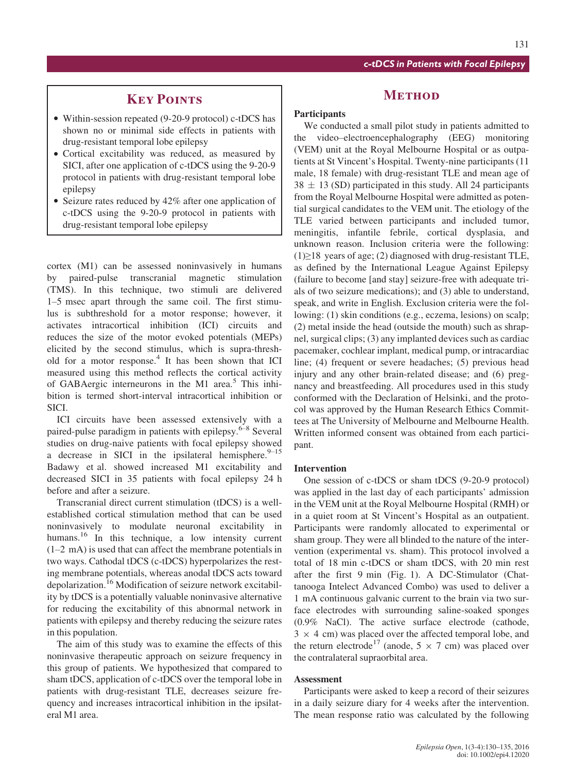## c-tDCS in Patients with Focal Epilepsy

# **KEY POINTS**

- Within-session repeated (9-20-9 protocol) c-tDCS has shown no or minimal side effects in patients with drug-resistant temporal lobe epilepsy
- Cortical excitability was reduced, as measured by SICI, after one application of c-tDCS using the 9-20-9 protocol in patients with drug-resistant temporal lobe epilepsy
- Seizure rates reduced by 42% after one application of c-tDCS using the 9-20-9 protocol in patients with drug-resistant temporal lobe epilepsy

cortex (M1) can be assessed noninvasively in humans by paired-pulse transcranial magnetic stimulation (TMS). In this technique, two stimuli are delivered 1–5 msec apart through the same coil. The first stimulus is subthreshold for a motor response; however, it activates intracortical inhibition (ICI) circuits and reduces the size of the motor evoked potentials (MEPs) elicited by the second stimulus, which is supra-threshold for a motor response.<sup>4</sup> It has been shown that ICI measured using this method reflects the cortical activity of GABAergic interneurons in the M1 area.<sup>5</sup> This inhibition is termed short-interval intracortical inhibition or SICI.

ICI circuits have been assessed extensively with a paired-pulse paradigm in patients with epilepsy. $6-8$  Several studies on drug-naive patients with focal epilepsy showed a decrease in SICI in the ipsilateral hemisphere. $9-15$ Badawy et al. showed increased M1 excitability and decreased SICI in 35 patients with focal epilepsy 24 h before and after a seizure.

Transcranial direct current stimulation (tDCS) is a wellestablished cortical stimulation method that can be used noninvasively to modulate neuronal excitability in humans.<sup>16</sup> In this technique, a low intensity current (1–2 mA) is used that can affect the membrane potentials in two ways. Cathodal tDCS (c-tDCS) hyperpolarizes the resting membrane potentials, whereas anodal tDCS acts toward depolarization.<sup>16</sup> Modification of seizure network excitability by tDCS is a potentially valuable noninvasive alternative for reducing the excitability of this abnormal network in patients with epilepsy and thereby reducing the seizure rates in this population.

The aim of this study was to examine the effects of this noninvasive therapeutic approach on seizure frequency in this group of patients. We hypothesized that compared to sham tDCS, application of c-tDCS over the temporal lobe in patients with drug-resistant TLE, decreases seizure frequency and increases intracortical inhibition in the ipsilateral M1 area.

# **METHOD**

## **Participants**

We conducted a small pilot study in patients admitted to the video–electroencephalography (EEG) monitoring (VEM) unit at the Royal Melbourne Hospital or as outpatients at St Vincent's Hospital. Twenty-nine participants (11 male, 18 female) with drug-resistant TLE and mean age of  $38 \pm 13$  (SD) participated in this study. All 24 participants from the Royal Melbourne Hospital were admitted as potential surgical candidates to the VEM unit. The etiology of the TLE varied between participants and included tumor, meningitis, infantile febrile, cortical dysplasia, and unknown reason. Inclusion criteria were the following:  $(1) \ge 18$  years of age; (2) diagnosed with drug-resistant TLE, as defined by the International League Against Epilepsy (failure to become [and stay] seizure-free with adequate trials of two seizure medications); and (3) able to understand, speak, and write in English. Exclusion criteria were the following: (1) skin conditions (e.g., eczema, lesions) on scalp; (2) metal inside the head (outside the mouth) such as shrapnel, surgical clips; (3) any implanted devices such as cardiac pacemaker, cochlear implant, medical pump, or intracardiac line; (4) frequent or severe headaches; (5) previous head injury and any other brain-related disease; and (6) pregnancy and breastfeeding. All procedures used in this study conformed with the Declaration of Helsinki, and the protocol was approved by the Human Research Ethics Committees at The University of Melbourne and Melbourne Health. Written informed consent was obtained from each participant.

#### Intervention

One session of c-tDCS or sham tDCS (9-20-9 protocol) was applied in the last day of each participants' admission in the VEM unit at the Royal Melbourne Hospital (RMH) or in a quiet room at St Vincent's Hospital as an outpatient. Participants were randomly allocated to experimental or sham group. They were all blinded to the nature of the intervention (experimental vs. sham). This protocol involved a total of 18 min c-tDCS or sham tDCS, with 20 min rest after the first 9 min (Fig. 1). A DC-Stimulator (Chattanooga Intelect Advanced Combo) was used to deliver a 1 mA continuous galvanic current to the brain via two surface electrodes with surrounding saline-soaked sponges (0.9% NaCl). The active surface electrode (cathode,  $3 \times 4$  cm) was placed over the affected temporal lobe, and the return electrode<sup>17</sup> (anode, 5  $\times$  7 cm) was placed over the contralateral supraorbital area.

#### Assessment

Participants were asked to keep a record of their seizures in a daily seizure diary for 4 weeks after the intervention. The mean response ratio was calculated by the following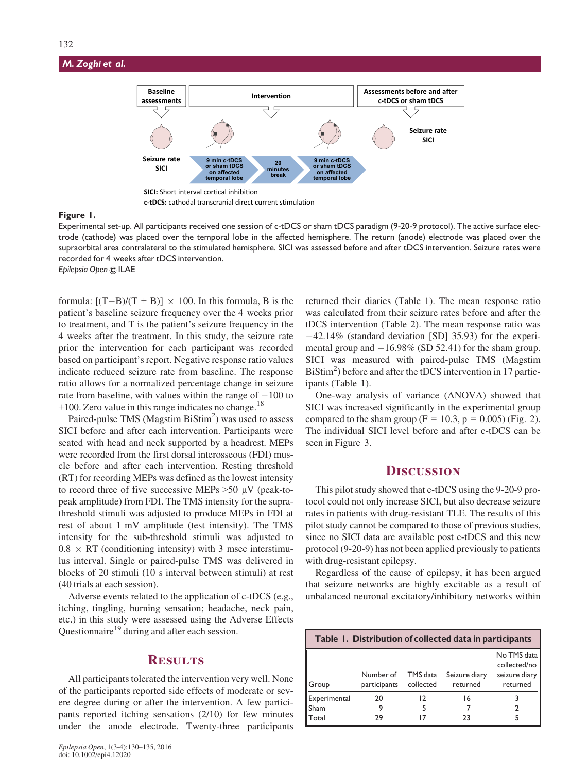## M. Zoghi et al.



#### Figure 1.

Experimental set-up. All participants received one session of c-tDCS or sham tDCS paradigm (9-20-9 protocol). The active surface electrode (cathode) was placed over the temporal lobe in the affected hemisphere. The return (anode) electrode was placed over the supraorbital area contralateral to the stimulated hemisphere. SICI was assessed before and after tDCS intervention. Seizure rates were recorded for 4 weeks after tDCS intervention. Epilepsia Open CILAE

formula:  $[(T-B)/(T + B)] \times 100$ . In this formula, B is the patient's baseline seizure frequency over the 4 weeks prior to treatment, and T is the patient's seizure frequency in the 4 weeks after the treatment. In this study, the seizure rate prior the intervention for each participant was recorded based on participant's report. Negative response ratio values indicate reduced seizure rate from baseline. The response ratio allows for a normalized percentage change in seizure rate from baseline, with values within the range of  $-100$  to  $+100$ . Zero value in this range indicates no change.<sup>18</sup>

Paired-pulse TMS (Magstim BiStim<sup>2</sup>) was used to assess SICI before and after each intervention. Participants were seated with head and neck supported by a headrest. MEPs were recorded from the first dorsal interosseous (FDI) muscle before and after each intervention. Resting threshold (RT) for recording MEPs was defined as the lowest intensity to record three of five successive MEPs  $>50 \mu V$  (peak-topeak amplitude) from FDI. The TMS intensity for the suprathreshold stimuli was adjusted to produce MEPs in FDI at rest of about 1 mV amplitude (test intensity). The TMS intensity for the sub-threshold stimuli was adjusted to  $0.8 \times RT$  (conditioning intensity) with 3 msec interstimulus interval. Single or paired-pulse TMS was delivered in blocks of 20 stimuli (10 s interval between stimuli) at rest (40 trials at each session).

Adverse events related to the application of c-tDCS (e.g., itching, tingling, burning sensation; headache, neck pain, etc.) in this study were assessed using the Adverse Effects Questionnaire<sup>19</sup> during and after each session.

## **RESULTS**

All participants tolerated the intervention very well. None of the participants reported side effects of moderate or severe degree during or after the intervention. A few participants reported itching sensations (2/10) for few minutes under the anode electrode. Twenty-three participants

returned their diaries (Table 1). The mean response ratio was calculated from their seizure rates before and after the tDCS intervention (Table 2). The mean response ratio was 42.14% (standard deviation [SD] 35.93) for the experimental group and  $-16.98\%$  (SD 52.41) for the sham group. SICI was measured with paired-pulse TMS (Magstim BiStim<sup>2</sup>) before and after the tDCS intervention in 17 participants (Table 1).

One-way analysis of variance (ANOVA) showed that SICI was increased significantly in the experimental group compared to the sham group ( $F = 10.3$ ,  $p = 0.005$ ) (Fig. 2). The individual SICI level before and after c-tDCS can be seen in Figure 3.

## **DISCUSSION**

This pilot study showed that c-tDCS using the 9-20-9 protocol could not only increase SICI, but also decrease seizure rates in patients with drug-resistant TLE. The results of this pilot study cannot be compared to those of previous studies, since no SICI data are available post c-tDCS and this new protocol (9-20-9) has not been applied previously to patients with drug-resistant epilepsy.

Regardless of the cause of epilepsy, it has been argued that seizure networks are highly excitable as a result of unbalanced neuronal excitatory/inhibitory networks within

| Table 1. Distribution of collected data in participants |                           |                       |                           |                                                          |  |  |
|---------------------------------------------------------|---------------------------|-----------------------|---------------------------|----------------------------------------------------------|--|--|
| Group                                                   | Number of<br>participants | TMS data<br>collected | Seizure diary<br>returned | No TMS data<br>collected/no<br>seizure diary<br>returned |  |  |
| Experimental<br>Sham<br>Total                           | 20<br>29                  | 12                    | 16<br>23                  |                                                          |  |  |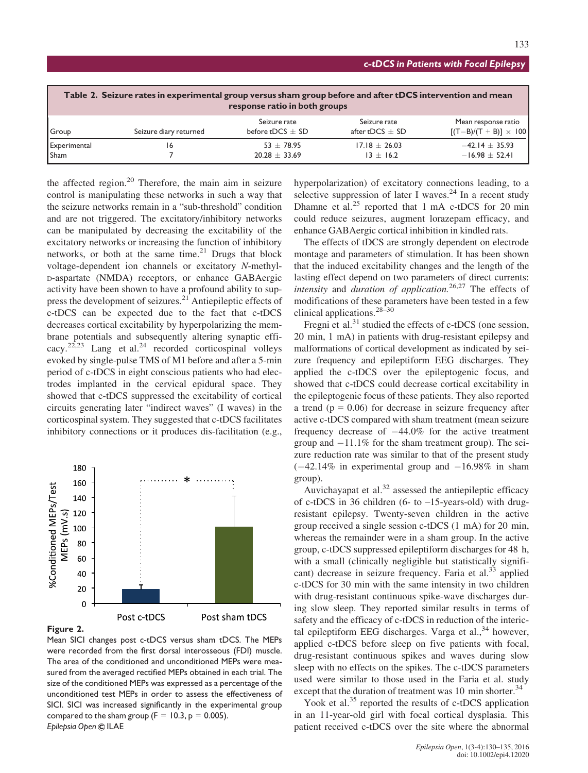## c-tDCS in Patients with Focal Epilepsy

| Table 2. Seizure rates in experimental group versus sham group before and after tDCS intervention and mean<br>response ratio in both groups |                        |                                    |                                   |                                                      |  |
|---------------------------------------------------------------------------------------------------------------------------------------------|------------------------|------------------------------------|-----------------------------------|------------------------------------------------------|--|
| Group                                                                                                                                       | Seizure diary returned | Seizure rate<br>before tDCS $+$ SD | Seizure rate<br>after tDCS $+$ SD | Mean response ratio<br>$[(T-B)/(T + B)] \times 100]$ |  |
| Experimental<br>Sham                                                                                                                        | 16                     | $53 + 78.95$<br>$20.28 + 33.69$    | $17.18 \pm 26.03$<br>$13 + 16.2$  | $-42.14 + 35.93$<br>$-16.98 + 52.41$                 |  |

the affected region.<sup>20</sup> Therefore, the main aim in seizure control is manipulating these networks in such a way that the seizure networks remain in a "sub-threshold" condition and are not triggered. The excitatory/inhibitory networks can be manipulated by decreasing the excitability of the excitatory networks or increasing the function of inhibitory networks, or both at the same time. $2<sup>1</sup>$  Drugs that block voltage-dependent ion channels or excitatory N-methyl-D-aspartate (NMDA) receptors, or enhance GABAergic activity have been shown to have a profound ability to suppress the development of seizures.<sup>21</sup> Antiepileptic effects of c-tDCS can be expected due to the fact that c-tDCS decreases cortical excitability by hyperpolarizing the membrane potentials and subsequently altering synaptic efficacy.<sup>22,23</sup> Lang et al.<sup>24</sup> recorded corticospinal volleys evoked by single-pulse TMS of M1 before and after a 5-min period of c-tDCS in eight conscious patients who had electrodes implanted in the cervical epidural space. They showed that c-tDCS suppressed the excitability of cortical circuits generating later "indirect waves" (I waves) in the corticospinal system. They suggested that c-tDCS facilitates inhibitory connections or it produces dis-facilitation (e.g.,



## Figure 2.

Mean SICI changes post c-tDCS versus sham tDCS. The MEPs were recorded from the first dorsal interosseous (FDI) muscle. The area of the conditioned and unconditioned MEPs were measured from the averaged rectified MEPs obtained in each trial. The size of the conditioned MEPs was expressed as a percentage of the unconditioned test MEPs in order to assess the effectiveness of SICI. SICI was increased significantly in the experimental group compared to the sham group ( $F = 10.3$ ,  $p = 0.005$ ). Epilepsia Open C ILAE

hyperpolarization) of excitatory connections leading, to a selective suppression of later I waves.<sup>24</sup> In a recent study Dhamne et al. $^{25}$  reported that 1 mA c-tDCS for 20 min could reduce seizures, augment lorazepam efficacy, and enhance GABAergic cortical inhibition in kindled rats.

The effects of tDCS are strongly dependent on electrode montage and parameters of stimulation. It has been shown that the induced excitability changes and the length of the lasting effect depend on two parameters of direct currents: intensity and *duration of application*.<sup>26,27</sup> The effects of modifications of these parameters have been tested in a few clinical applications.28–<sup>30</sup>

Fregni et al. $31$  studied the effects of c-tDCS (one session, 20 min, 1 mA) in patients with drug-resistant epilepsy and malformations of cortical development as indicated by seizure frequency and epileptiform EEG discharges. They applied the c-tDCS over the epileptogenic focus, and showed that c-tDCS could decrease cortical excitability in the epileptogenic focus of these patients. They also reported a trend ( $p = 0.06$ ) for decrease in seizure frequency after active c-tDCS compared with sham treatment (mean seizure frequency decrease of  $-44.0\%$  for the active treatment group and  $-11.1\%$  for the sham treatment group). The seizure reduction rate was similar to that of the present study  $(-42.14\%$  in experimental group and  $-16.98\%$  in sham group).

Auvichayapat et al. $32$  assessed the antiepileptic efficacy of c-tDCS in 36 children (6- to  $-15$ -years-old) with drugresistant epilepsy. Twenty-seven children in the active group received a single session c-tDCS (1 mA) for 20 min, whereas the remainder were in a sham group. In the active group, c-tDCS suppressed epileptiform discharges for 48 h, with a small (clinically negligible but statistically significant) decrease in seizure frequency. Faria et al. $33$  applied c-tDCS for 30 min with the same intensity in two children with drug-resistant continuous spike-wave discharges during slow sleep. They reported similar results in terms of safety and the efficacy of c-tDCS in reduction of the interictal epileptiform EEG discharges. Varga et al.,  $34$  however, applied c-tDCS before sleep on five patients with focal, drug-resistant continuous spikes and waves during slow sleep with no effects on the spikes. The c-tDCS parameters used were similar to those used in the Faria et al. study except that the duration of treatment was 10 min shorter.<sup>34</sup>

Yook et al.<sup>35</sup> reported the results of c-tDCS application in an 11-year-old girl with focal cortical dysplasia. This patient received c-tDCS over the site where the abnormal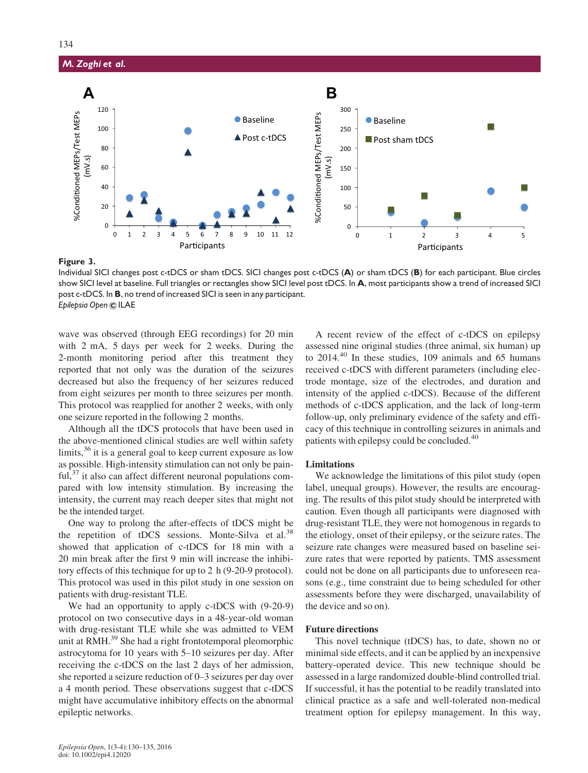

#### Figure 3.

Individual SICI changes post c-tDCS or sham tDCS. SICI changes post c-tDCS (A) or sham tDCS (B) for each participant. Blue circles show SICI level at baseline. Full triangles or rectangles show SICI level post tDCS. In A, most participants show a trend of increased SICI post c-tDCS. In B, no trend of increased SICI is seen in any participant. Epilepsia Open © ILAE

wave was observed (through EEG recordings) for 20 min with 2 mA, 5 days per week for 2 weeks. During the 2-month monitoring period after this treatment they reported that not only was the duration of the seizures decreased but also the frequency of her seizures reduced from eight seizures per month to three seizures per month. This protocol was reapplied for another 2 weeks, with only one seizure reported in the following 2 months.

Although all the tDCS protocols that have been used in the above-mentioned clinical studies are well within safety limits,  $36$  it is a general goal to keep current exposure as low as possible. High-intensity stimulation can not only be pain- $\text{ful}$ ,  $\frac{37}{7}$  it also can affect different neuronal populations compared with low intensity stimulation. By increasing the intensity, the current may reach deeper sites that might not be the intended target.

One way to prolong the after-effects of tDCS might be the repetition of tDCS sessions. Monte-Silva et al.<sup>38</sup> showed that application of c-tDCS for 18 min with a 20 min break after the first 9 min will increase the inhibitory effects of this technique for up to 2 h (9-20-9 protocol). This protocol was used in this pilot study in one session on patients with drug-resistant TLE.

We had an opportunity to apply c-tDCS with (9-20-9) protocol on two consecutive days in a 48-year-old woman with drug-resistant TLE while she was admitted to VEM unit at RMH.<sup>39</sup> She had a right frontotemporal pleomorphic astrocytoma for 10 years with 5–10 seizures per day. After receiving the c-tDCS on the last 2 days of her admission, she reported a seizure reduction of 0–3 seizures per day over a 4 month period. These observations suggest that c-tDCS might have accumulative inhibitory effects on the abnormal epileptic networks.

A recent review of the effect of c-tDCS on epilepsy assessed nine original studies (three animal, six human) up to 2014.<sup>40</sup> In these studies, 109 animals and 65 humans received c-tDCS with different parameters (including electrode montage, size of the electrodes, and duration and intensity of the applied c-tDCS). Because of the different methods of c-tDCS application, and the lack of long-term follow-up, only preliminary evidence of the safety and efficacy of this technique in controlling seizures in animals and patients with epilepsy could be concluded.<sup>40</sup>

## Limitations

We acknowledge the limitations of this pilot study (open label, unequal groups). However, the results are encouraging. The results of this pilot study should be interpreted with caution. Even though all participants were diagnosed with drug-resistant TLE, they were not homogenous in regards to the etiology, onset of their epilepsy, or the seizure rates. The seizure rate changes were measured based on baseline seizure rates that were reported by patients. TMS assessment could not be done on all participants due to unforeseen reasons (e.g., time constraint due to being scheduled for other assessments before they were discharged, unavailability of the device and so on).

## Future directions

This novel technique (tDCS) has, to date, shown no or minimal side effects, and it can be applied by an inexpensive battery-operated device. This new technique should be assessed in a large randomized double-blind controlled trial. If successful, it has the potential to be readily translated into clinical practice as a safe and well-tolerated non-medical treatment option for epilepsy management. In this way,